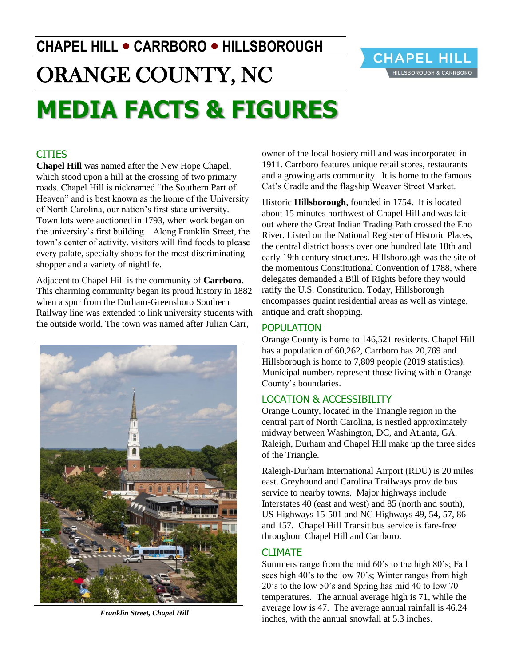# **CHAPEL HILL CARRBORO HILLSBOROUGH**



## ORANGE COUNTY, NC **MEDIA FACTS & FIGURES**

#### CITIES

**Chapel Hill** was named after the New Hope Chapel, which stood upon a hill at the crossing of two primary roads. Chapel Hill is nicknamed "the Southern Part of Heaven" and is best known as the home of the University of North Carolina, our nation's first state university. Town lots were auctioned in 1793, when work began on the university's first building. Along Franklin Street, the town's center of activity, visitors will find foods to please every palate, specialty shops for the most discriminating shopper and a variety of nightlife.

Adjacent to Chapel Hill is the community of **Carrboro**. This charming community began its proud history in 1882 when a spur from the Durham-Greensboro Southern Railway line was extended to link university students with the outside world. The town was named after Julian Carr,



*Franklin Street, Chapel Hill*

owner of the local hosiery mill and was incorporated in 1911. Carrboro features unique retail stores, restaurants and a growing arts community. It is home to the famous Cat's Cradle and the flagship Weaver Street Market.

Historic **Hillsborough**, founded in 1754. It is located about 15 minutes northwest of Chapel Hill and was laid out where the Great Indian Trading Path crossed the Eno River. Listed on the National Register of Historic Places, the central district boasts over one hundred late 18th and early 19th century structures. Hillsborough was the site of the momentous Constitutional Convention of 1788, where delegates demanded a Bill of Rights before they would ratify the U.S. Constitution. Today, Hillsborough encompasses quaint residential areas as well as vintage, antique and craft shopping.

#### POPULATION

Orange County is home to 146,521 residents. Chapel Hill has a population of 60,262, Carrboro has 20,769 and Hillsborough is home to 7,809 people (2019 statistics). Municipal numbers represent those living within Orange County's boundaries.

#### LOCATION & ACCESSIBILITY

Orange County, located in the Triangle region in the central part of North Carolina, is nestled approximately midway between Washington, DC, and Atlanta, GA. Raleigh, Durham and Chapel Hill make up the three sides of the Triangle.

Raleigh-Durham International Airport (RDU) is 20 miles east. Greyhound and Carolina Trailways provide bus service to nearby towns. Major highways include Interstates 40 (east and west) and 85 (north and south), US Highways 15-501 and NC Highways 49, 54, 57, 86 and 157. Chapel Hill Transit bus service is fare-free throughout Chapel Hill and Carrboro.

#### CLIMATE

Summers range from the mid 60's to the high 80's; Fall sees high 40's to the low 70's; Winter ranges from high 20's to the low 50's and Spring has mid 40 to low 70 temperatures. The annual average high is 71, while the average low is 47. The average annual rainfall is 46.24 inches, with the annual snowfall at 5.3 inches.